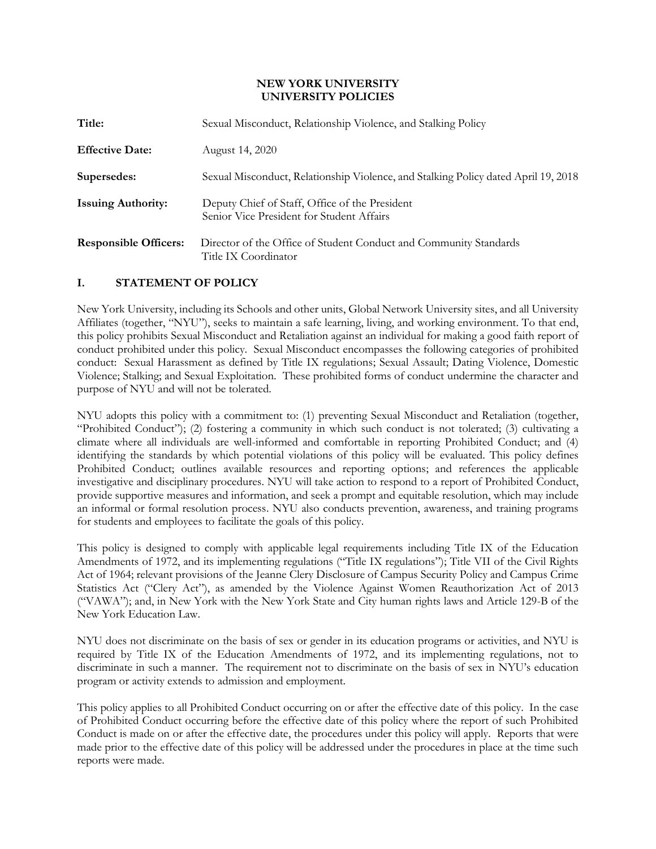#### **NEW YORK UNIVERSITY UNIVERSITY POLICIES**

| Title:                       | Sexual Misconduct, Relationship Violence, and Stalking Policy                               |  |
|------------------------------|---------------------------------------------------------------------------------------------|--|
| <b>Effective Date:</b>       | August 14, 2020                                                                             |  |
| Supersedes:                  | Sexual Misconduct, Relationship Violence, and Stalking Policy dated April 19, 2018          |  |
| <b>Issuing Authority:</b>    | Deputy Chief of Staff, Office of the President<br>Senior Vice President for Student Affairs |  |
| <b>Responsible Officers:</b> | Director of the Office of Student Conduct and Community Standards<br>Title IX Coordinator   |  |

### **I. STATEMENT OF POLICY**

New York University, including its Schools and other units, Global Network University sites, and all University Affiliates (together, "NYU"), seeks to maintain a safe learning, living, and working environment. To that end, this policy prohibits Sexual Misconduct and Retaliation against an individual for making a good faith report of conduct prohibited under this policy. Sexual Misconduct encompasses the following categories of prohibited conduct: Sexual Harassment as defined by Title IX regulations; Sexual Assault; Dating Violence, Domestic Violence; Stalking; and Sexual Exploitation. These prohibited forms of conduct undermine the character and purpose of NYU and will not be tolerated.

NYU adopts this policy with a commitment to: (1) preventing Sexual Misconduct and Retaliation (together, "Prohibited Conduct"); (2) fostering a community in which such conduct is not tolerated; (3) cultivating a climate where all individuals are well-informed and comfortable in reporting Prohibited Conduct; and (4) identifying the standards by which potential violations of this policy will be evaluated. This policy defines Prohibited Conduct; outlines available resources and reporting options; and references the applicable investigative and disciplinary procedures. NYU will take action to respond to a report of Prohibited Conduct, provide supportive measures and information, and seek a prompt and equitable resolution, which may include an informal or formal resolution process. NYU also conducts prevention, awareness, and training programs for students and employees to facilitate the goals of this policy.

This policy is designed to comply with applicable legal requirements including Title IX of the Education Amendments of 1972, and its implementing regulations ("Title IX regulations"); Title VII of the Civil Rights Act of 1964; relevant provisions of the Jeanne Clery Disclosure of Campus Security Policy and Campus Crime Statistics Act ("Clery Act"), as amended by the Violence Against Women Reauthorization Act of 2013 ("VAWA"); and, in New York with the New York State and City human rights laws and Article 129-B of the New York Education Law.

NYU does not discriminate on the basis of sex or gender in its education programs or activities, and NYU is required by Title IX of the Education Amendments of 1972, and its implementing regulations, not to discriminate in such a manner. The requirement not to discriminate on the basis of sex in NYU's education program or activity extends to admission and employment.

This policy applies to all Prohibited Conduct occurring on or after the effective date of this policy. In the case of Prohibited Conduct occurring before the effective date of this policy where the report of such Prohibited Conduct is made on or after the effective date, the procedures under this policy will apply. Reports that were made prior to the effective date of this policy will be addressed under the procedures in place at the time such reports were made.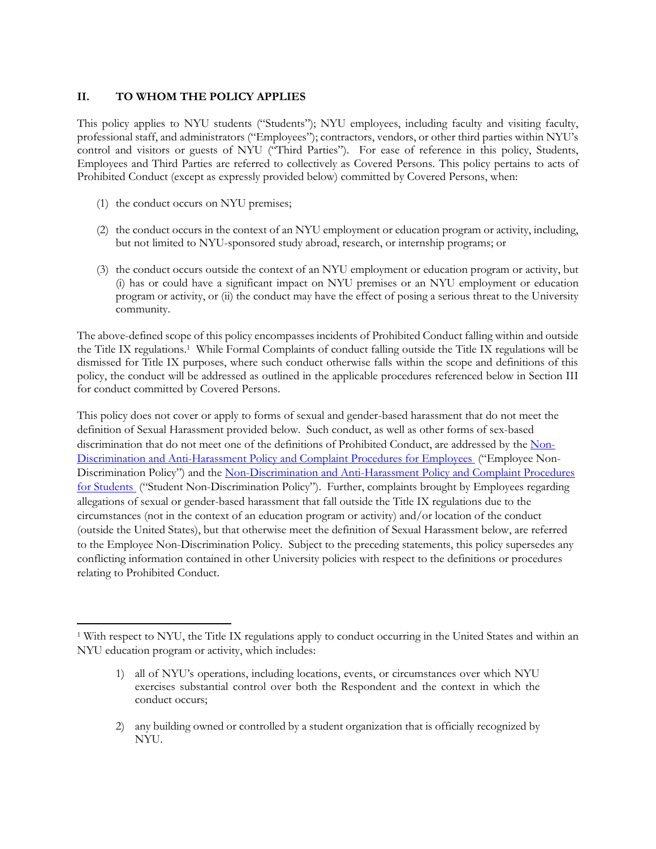## **II. TO WHOM THE POLICY APPLIES**

This policy applies to NYU students ("Students"); NYU employees, including faculty and visiting faculty, professional staff, and administrators ("Employees"); contractors, vendors, or other third parties within NYU's control and visitors or guests of NYU ("Third Parties"). For ease of reference in this policy, Students, Employees and Third Parties are referred to collectively as Covered Persons. This policy pertains to acts of Prohibited Conduct (except as expressly provided below) committed by Covered Persons, when:

(1) the conduct occurs on NYU premises;

l

- (2) the conduct occurs in the context of an NYU employment or education program or activity, including, but not limited to NYU-sponsored study abroad, research, or internship programs; or
- (3) the conduct occurs outside the context of an NYU employment or education program or activity, but (i) has or could have a significant impact on NYU premises or an NYU employment or education program or activity, or (ii) the conduct may have the effect of posing a serious threat to the University community.

The above-defined scope of this policy encompasses incidents of Prohibited Conduct falling within and outside the Title IX regulations.<sup>1</sup> While Formal Complaints of conduct falling outside the Title IX regulations will be dismissed for Title IX purposes, where such conduct otherwise falls within the scope and definitions of this policy, the conduct will be addressed as outlined in the applicable procedures referenced below in Section III for conduct committed by Covered Persons.

This policy does not cover or apply to forms of sexual and gender-based harassment that do not meet the definition of Sexual Harassment provided below. Such conduct, as well as other forms of sex-based discrimination that do not meet one of the definitions of Prohibited Conduct, are addressed by the [Non-](https://www.nyu.edu/about/policies-guidelines-compliance/policies-and-guidelines/anti-harassment-policy-and-complaint-procedures.html)[Discrimination and Anti-Harassment Policy and Complaint Procedures for Employees](https://www.nyu.edu/about/policies-guidelines-compliance/policies-and-guidelines/anti-harassment-policy-and-complaint-procedures.html) ("Employee Non-Discrimination Policy") and the [Non-Discrimination and Anti-Harassment Policy and Complaint Procedures](https://www.nyu.edu/about/policies-guidelines-compliance/policies-and-guidelines/non-discrimination-and-anti-harassment-policy-and-complaint-proc.html)  [for Students](https://www.nyu.edu/about/policies-guidelines-compliance/policies-and-guidelines/non-discrimination-and-anti-harassment-policy-and-complaint-proc.html) ("Student Non-Discrimination Policy"). Further, complaints brought by Employees regarding allegations of sexual or gender-based harassment that fall outside the Title IX regulations due to the circumstances (not in the context of an education program or activity) and/or location of the conduct (outside the United States), but that otherwise meet the definition of Sexual Harassment below, are referred to the Employee Non-Discrimination Policy. Subject to the preceding statements, this policy supersedes any conflicting information contained in other University policies with respect to the definitions or procedures relating to Prohibited Conduct.

- 1) all of NYU's operations, including locations, events, or circumstances over which NYU exercises substantial control over both the Respondent and the context in which the conduct occurs;
- 2) any building owned or controlled by a student organization that is officially recognized by NYU.

<sup>1</sup> With respect to NYU, the Title IX regulations apply to conduct occurring in the United States and within an NYU education program or activity, which includes: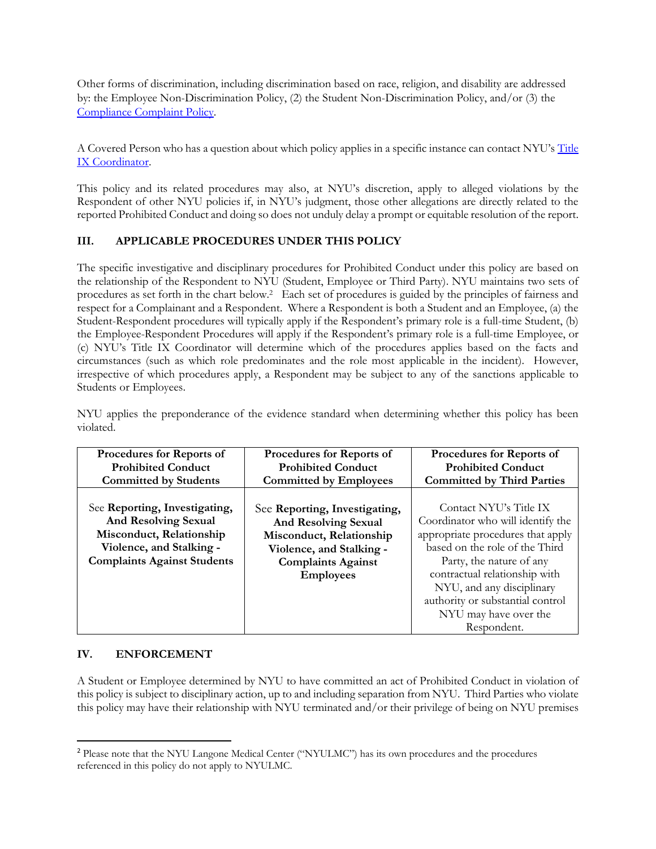Other forms of discrimination, including discrimination based on race, religion, and disability are addressed by: the Employee Non-Discrimination Policy, (2) the Student Non-Discrimination Policy, and/or (3) the [Compliance Complaint Policy.](https://www.nyu.edu/about/policies-guidelines-compliance/policies-and-guidelines/compliance-complaint-.html)

A Covered Person who has a question about which policy applies in a specific instance can contact NYU's [Title](https://www.nyu.edu/about/policies-guidelines-compliance/equal-opportunity/title9.html)  [IX Coordinator.](https://www.nyu.edu/about/policies-guidelines-compliance/equal-opportunity/title9.html)

This policy and its related procedures may also, at NYU's discretion, apply to alleged violations by the Respondent of other NYU policies if, in NYU's judgment, those other allegations are directly related to the reported Prohibited Conduct and doing so does not unduly delay a prompt or equitable resolution of the report.

# **III. APPLICABLE PROCEDURES UNDER THIS POLICY**

The specific investigative and disciplinary procedures for Prohibited Conduct under this policy are based on the relationship of the Respondent to NYU (Student, Employee or Third Party). NYU maintains two sets of procedures as set forth in the chart below.<sup>2</sup> Each set of procedures is guided by the principles of fairness and respect for a Complainant and a Respondent. Where a Respondent is both a Student and an Employee, (a) the Student-Respondent procedures will typically apply if the Respondent's primary role is a full-time Student, (b) the Employee-Respondent Procedures will apply if the Respondent's primary role is a full-time Employee, or (c) NYU's Title IX Coordinator will determine which of the procedures applies based on the facts and circumstances (such as which role predominates and the role most applicable in the incident). However, irrespective of which procedures apply, a Respondent may be subject to any of the sanctions applicable to Students or Employees.

| Procedures for Reports of          | Procedures for Reports of     | Procedures for Reports of         |
|------------------------------------|-------------------------------|-----------------------------------|
| <b>Prohibited Conduct</b>          | <b>Prohibited Conduct</b>     | <b>Prohibited Conduct</b>         |
| <b>Committed by Students</b>       | <b>Committed by Employees</b> | <b>Committed by Third Parties</b> |
|                                    |                               |                                   |
| See Reporting, Investigating,      | See Reporting, Investigating, | Contact NYU's Title IX            |
| <b>And Resolving Sexual</b>        | <b>And Resolving Sexual</b>   | Coordinator who will identify the |
| Misconduct, Relationship           | Misconduct, Relationship      | appropriate procedures that apply |
| Violence, and Stalking -           | Violence, and Stalking -      | based on the role of the Third    |
| <b>Complaints Against Students</b> | <b>Complaints Against</b>     | Party, the nature of any          |
|                                    | <b>Employees</b>              | contractual relationship with     |
|                                    |                               | NYU, and any disciplinary         |
|                                    |                               | authority or substantial control  |
|                                    |                               | NYU may have over the             |
|                                    |                               | Respondent.                       |

NYU applies the preponderance of the evidence standard when determining whether this policy has been violated.

### **IV. ENFORCEMENT**

 $\overline{\phantom{a}}$ 

A Student or Employee determined by NYU to have committed an act of Prohibited Conduct in violation of this policy is subject to disciplinary action, up to and including separation from NYU. Third Parties who violate this policy may have their relationship with NYU terminated and/or their privilege of being on NYU premises

<sup>2</sup> Please note that the NYU Langone Medical Center ("NYULMC") has its own procedures and the procedures referenced in this policy do not apply to NYULMC.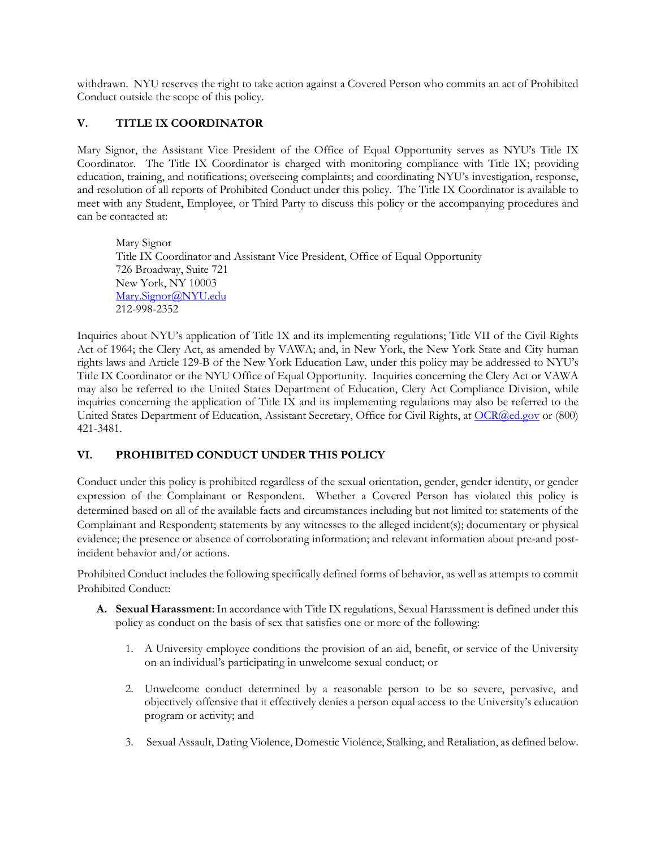withdrawn. NYU reserves the right to take action against a Covered Person who commits an act of Prohibited Conduct outside the scope of this policy.

# **V. TITLE IX COORDINATOR**

Mary Signor, the Assistant Vice President of the Office of Equal Opportunity serves as NYU's Title IX Coordinator. The Title IX Coordinator is charged with monitoring compliance with Title IX; providing education, training, and notifications; overseeing complaints; and coordinating NYU's investigation, response, and resolution of all reports of Prohibited Conduct under this policy. The Title IX Coordinator is available to meet with any Student, Employee, or Third Party to discuss this policy or the accompanying procedures and can be contacted at:

Mary Signor Title IX Coordinator and Assistant Vice President, Office of Equal Opportunity 726 Broadway, Suite 721 New York, NY 10003 [Mary.Signor@NYU.edu](mailto:Mary.Signor@NYU.edu) 212-998-2352

Inquiries about NYU's application of Title IX and its implementing regulations; Title VII of the Civil Rights Act of 1964; the Clery Act, as amended by VAWA; and, in New York, the New York State and City human rights laws and Article 129-B of the New York Education Law, under this policy may be addressed to NYU's Title IX Coordinator or the NYU Office of Equal Opportunity. Inquiries concerning the Clery Act or VAWA may also be referred to the United States Department of Education, Clery Act Compliance Division, while inquiries concerning the application of Title IX and its implementing regulations may also be referred to the United States Department of Education, Assistant Secretary, Office for Civil Rights, a[t OCR@ed.gov](mailto:OCR@ed.gov) or (800) 421-3481.

# **VI. PROHIBITED CONDUCT UNDER THIS POLICY**

Conduct under this policy is prohibited regardless of the sexual orientation, gender, gender identity, or gender expression of the Complainant or Respondent. Whether a Covered Person has violated this policy is determined based on all of the available facts and circumstances including but not limited to: statements of the Complainant and Respondent; statements by any witnesses to the alleged incident(s); documentary or physical evidence; the presence or absence of corroborating information; and relevant information about pre-and postincident behavior and/or actions.

Prohibited Conduct includes the following specifically defined forms of behavior, as well as attempts to commit Prohibited Conduct:

- **A. Sexual Harassment**: In accordance with Title IX regulations, Sexual Harassment is defined under this policy as conduct on the basis of sex that satisfies one or more of the following:
	- 1. A University employee conditions the provision of an aid, benefit, or service of the University on an individual's participating in unwelcome sexual conduct; or
	- 2. Unwelcome conduct determined by a reasonable person to be so severe, pervasive, and objectively offensive that it effectively denies a person equal access to the University's education program or activity; and
	- 3. Sexual Assault, Dating Violence, Domestic Violence, Stalking, and Retaliation, as defined below.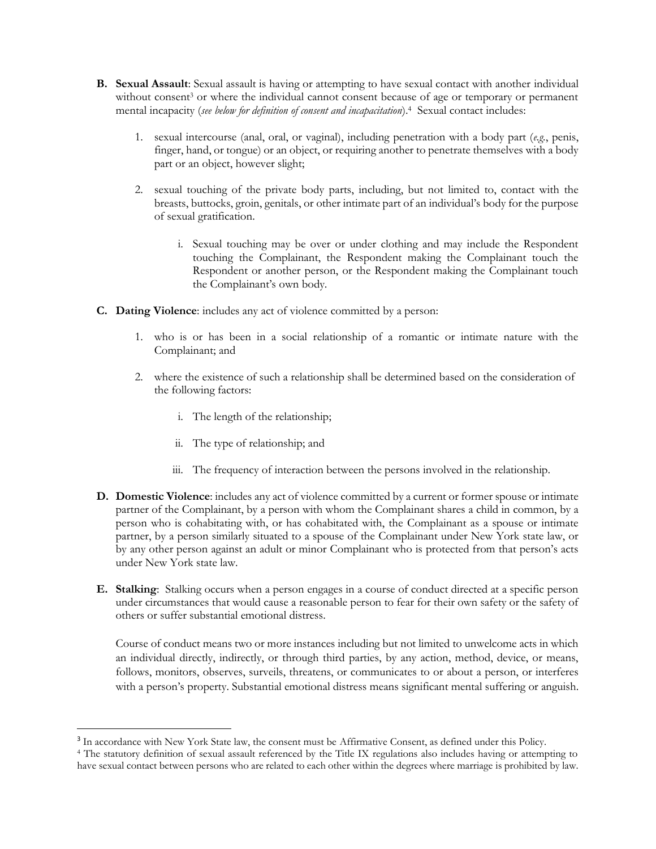- **B. Sexual Assault**: Sexual assault is having or attempting to have sexual contact with another individual without consent<sup>3</sup> or where the individual cannot consent because of age or temporary or permanent mental incapacity (*see below for definition of consent and incapacitation*).<sup>4</sup> Sexual contact includes:
	- 1. sexual intercourse (anal, oral, or vaginal), including penetration with a body part (*e.g.*, penis, finger, hand, or tongue) or an object, or requiring another to penetrate themselves with a body part or an object, however slight;
	- 2. sexual touching of the private body parts, including, but not limited to, contact with the breasts, buttocks, groin, genitals, or other intimate part of an individual's body for the purpose of sexual gratification.
		- i. Sexual touching may be over or under clothing and may include the Respondent touching the Complainant, the Respondent making the Complainant touch the Respondent or another person, or the Respondent making the Complainant touch the Complainant's own body.
- **C. Dating Violence**: includes any act of violence committed by a person:
	- 1. who is or has been in a social relationship of a romantic or intimate nature with the Complainant; and
	- 2. where the existence of such a relationship shall be determined based on the consideration of the following factors:
		- i. The length of the relationship;
		- ii. The type of relationship; and

 $\overline{\phantom{a}}$ 

- iii. The frequency of interaction between the persons involved in the relationship.
- **D. Domestic Violence**: includes any act of violence committed by a current or former spouse or intimate partner of the Complainant, by a person with whom the Complainant shares a child in common, by a person who is cohabitating with, or has cohabitated with, the Complainant as a spouse or intimate partner, by a person similarly situated to a spouse of the Complainant under New York state law, or by any other person against an adult or minor Complainant who is protected from that person's acts under New York state law.
- **E. Stalking**: Stalking occurs when a person engages in a course of conduct directed at a specific person under circumstances that would cause a reasonable person to fear for their own safety or the safety of others or suffer substantial emotional distress.

Course of conduct means two or more instances including but not limited to unwelcome acts in which an individual directly, indirectly, or through third parties, by any action, method, device, or means, follows, monitors, observes, surveils, threatens, or communicates to or about a person, or interferes with a person's property. Substantial emotional distress means significant mental suffering or anguish.

<sup>&</sup>lt;sup>3</sup> In accordance with New York State law, the consent must be Affirmative Consent, as defined under this Policy.

<sup>4</sup> The statutory definition of sexual assault referenced by the Title IX regulations also includes having or attempting to have sexual contact between persons who are related to each other within the degrees where marriage is prohibited by law.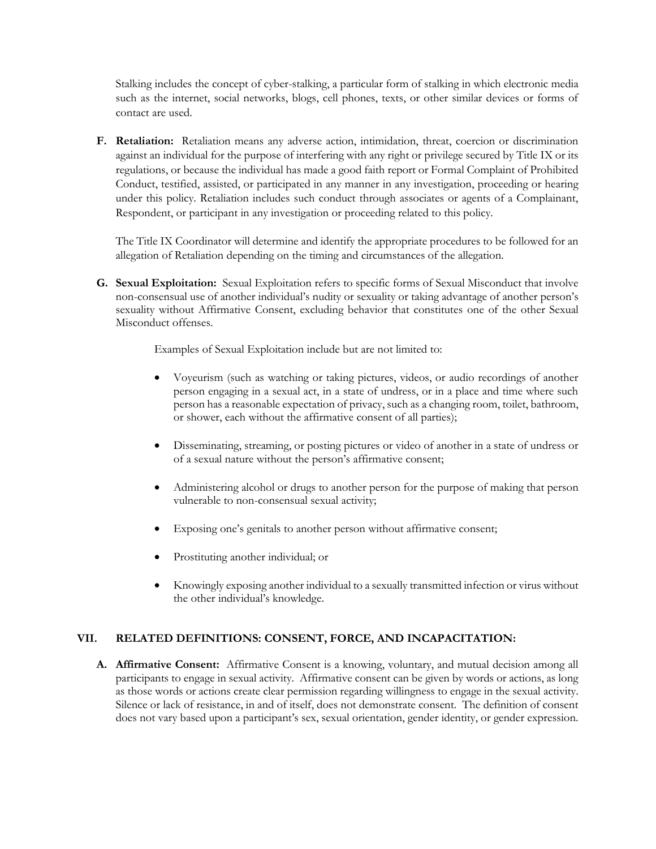Stalking includes the concept of cyber-stalking, a particular form of stalking in which electronic media such as the internet, social networks, blogs, cell phones, texts, or other similar devices or forms of contact are used.

**F. Retaliation:** Retaliation means any adverse action, intimidation, threat, coercion or discrimination against an individual for the purpose of interfering with any right or privilege secured by Title IX or its regulations, or because the individual has made a good faith report or Formal Complaint of Prohibited Conduct, testified, assisted, or participated in any manner in any investigation, proceeding or hearing under this policy. Retaliation includes such conduct through associates or agents of a Complainant, Respondent, or participant in any investigation or proceeding related to this policy.

The Title IX Coordinator will determine and identify the appropriate procedures to be followed for an allegation of Retaliation depending on the timing and circumstances of the allegation.

**G. Sexual Exploitation:** Sexual Exploitation refers to specific forms of Sexual Misconduct that involve non-consensual use of another individual's nudity or sexuality or taking advantage of another person's sexuality without Affirmative Consent, excluding behavior that constitutes one of the other Sexual Misconduct offenses.

Examples of Sexual Exploitation include but are not limited to:

- Voyeurism (such as watching or taking pictures, videos, or audio recordings of another person engaging in a sexual act, in a state of undress, or in a place and time where such person has a reasonable expectation of privacy, such as a changing room, toilet, bathroom, or shower, each without the affirmative consent of all parties);
- Disseminating, streaming, or posting pictures or video of another in a state of undress or of a sexual nature without the person's affirmative consent;
- Administering alcohol or drugs to another person for the purpose of making that person vulnerable to non-consensual sexual activity;
- Exposing one's genitals to another person without affirmative consent;
- Prostituting another individual; or
- Knowingly exposing another individual to a sexually transmitted infection or virus without the other individual's knowledge.

### **VII. RELATED DEFINITIONS: CONSENT, FORCE, AND INCAPACITATION:**

**A. Affirmative Consent:** Affirmative Consent is a knowing, voluntary, and mutual decision among all participants to engage in sexual activity. Affirmative consent can be given by words or actions, as long as those words or actions create clear permission regarding willingness to engage in the sexual activity. Silence or lack of resistance, in and of itself, does not demonstrate consent. The definition of consent does not vary based upon a participant's sex, sexual orientation, gender identity, or gender expression.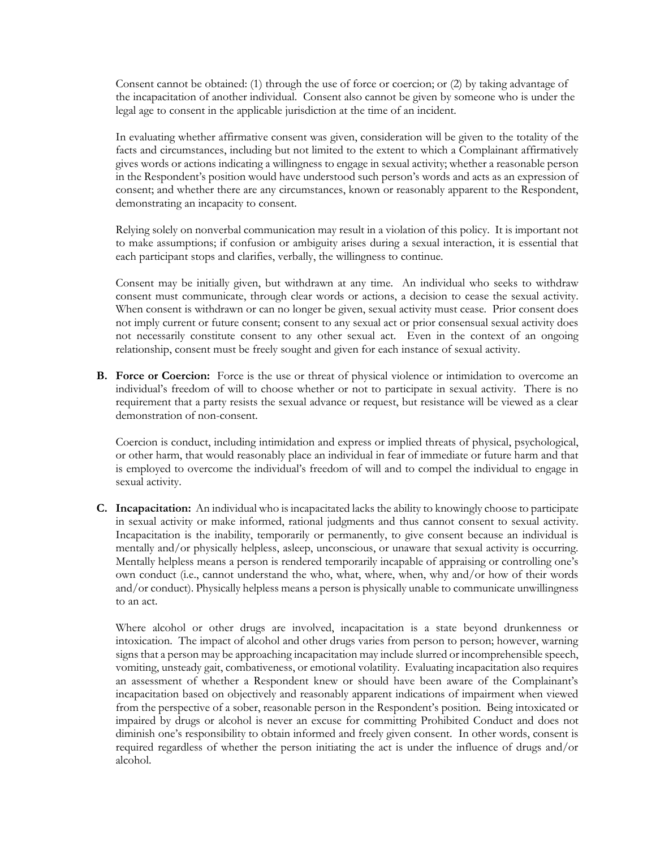Consent cannot be obtained: (1) through the use of force or coercion; or (2) by taking advantage of the incapacitation of another individual. Consent also cannot be given by someone who is under the legal age to consent in the applicable jurisdiction at the time of an incident.

In evaluating whether affirmative consent was given, consideration will be given to the totality of the facts and circumstances, including but not limited to the extent to which a Complainant affirmatively gives words or actions indicating a willingness to engage in sexual activity; whether a reasonable person in the Respondent's position would have understood such person's words and acts as an expression of consent; and whether there are any circumstances, known or reasonably apparent to the Respondent, demonstrating an incapacity to consent.

Relying solely on nonverbal communication may result in a violation of this policy. It is important not to make assumptions; if confusion or ambiguity arises during a sexual interaction, it is essential that each participant stops and clarifies, verbally, the willingness to continue.

Consent may be initially given, but withdrawn at any time. An individual who seeks to withdraw consent must communicate, through clear words or actions, a decision to cease the sexual activity. When consent is withdrawn or can no longer be given, sexual activity must cease. Prior consent does not imply current or future consent; consent to any sexual act or prior consensual sexual activity does not necessarily constitute consent to any other sexual act. Even in the context of an ongoing relationship, consent must be freely sought and given for each instance of sexual activity.

**B. Force or Coercion:** Force is the use or threat of physical violence or intimidation to overcome an individual's freedom of will to choose whether or not to participate in sexual activity. There is no requirement that a party resists the sexual advance or request, but resistance will be viewed as a clear demonstration of non-consent.

Coercion is conduct, including intimidation and express or implied threats of physical, psychological, or other harm, that would reasonably place an individual in fear of immediate or future harm and that is employed to overcome the individual's freedom of will and to compel the individual to engage in sexual activity.

**C. Incapacitation:** An individual who is incapacitated lacks the ability to knowingly choose to participate in sexual activity or make informed, rational judgments and thus cannot consent to sexual activity. Incapacitation is the inability, temporarily or permanently, to give consent because an individual is mentally and/or physically helpless, asleep, unconscious, or unaware that sexual activity is occurring. Mentally helpless means a person is rendered temporarily incapable of appraising or controlling one's own conduct (i.e., cannot understand the who, what, where, when, why and/or how of their words and/or conduct). Physically helpless means a person is physically unable to communicate unwillingness to an act.

Where alcohol or other drugs are involved, incapacitation is a state beyond drunkenness or intoxication. The impact of alcohol and other drugs varies from person to person; however, warning signs that a person may be approaching incapacitation may include slurred or incomprehensible speech, vomiting, unsteady gait, combativeness, or emotional volatility. Evaluating incapacitation also requires an assessment of whether a Respondent knew or should have been aware of the Complainant's incapacitation based on objectively and reasonably apparent indications of impairment when viewed from the perspective of a sober, reasonable person in the Respondent's position. Being intoxicated or impaired by drugs or alcohol is never an excuse for committing Prohibited Conduct and does not diminish one's responsibility to obtain informed and freely given consent. In other words, consent is required regardless of whether the person initiating the act is under the influence of drugs and/or alcohol.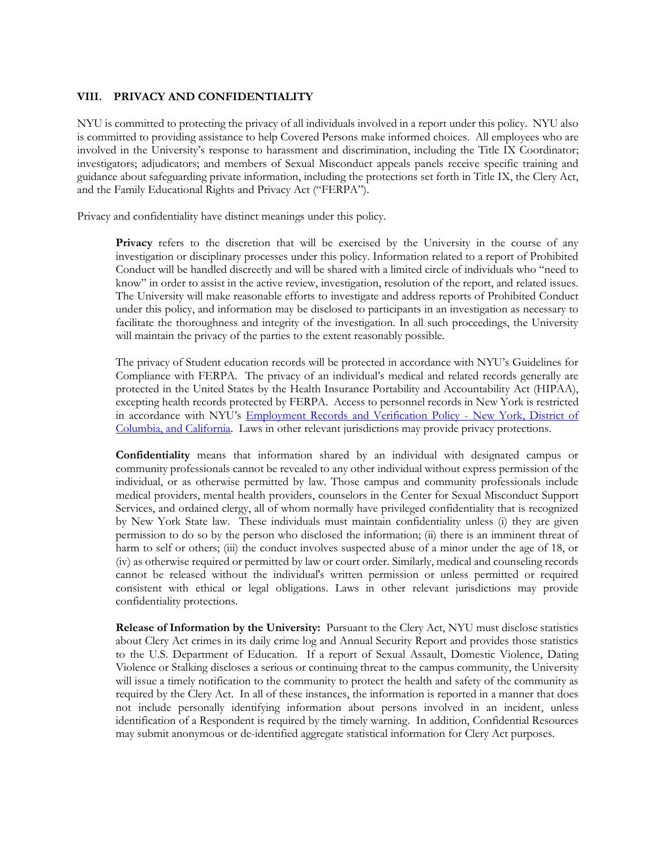#### **VIII. PRIVACY AND CONFIDENTIALITY**

NYU is committed to protecting the privacy of all individuals involved in a report under this policy. NYU also is committed to providing assistance to help Covered Persons make informed choices. All employees who are involved in the University's response to harassment and discrimination, including the Title IX Coordinator; investigators; adjudicators; and members of Sexual Misconduct appeals panels receive specific training and guidance about safeguarding private information, including the protections set forth in Title IX, the Clery Act, and the Family Educational Rights and Privacy Act ("FERPA").

Privacy and confidentiality have distinct meanings under this policy.

**Privacy** refers to the discretion that will be exercised by the University in the course of any investigation or disciplinary processes under this policy. Information related to a report of Prohibited Conduct will be handled discreetly and will be shared with a limited circle of individuals who "need to know" in order to assist in the active review, investigation, resolution of the report, and related issues. The University will make reasonable efforts to investigate and address reports of Prohibited Conduct under this policy, and information may be disclosed to participants in an investigation as necessary to facilitate the thoroughness and integrity of the investigation. In all such proceedings, the University will maintain the privacy of the parties to the extent reasonably possible.

The privacy of Student education records will be protected in accordance with NYU's Guidelines for Compliance with FERPA. The privacy of an individual's medical and related records generally are protected in the United States by the Health Insurance Portability and Accountability Act (HIPAA), excepting health records protected by FERPA. Access to personnel records in New York is restricted in accordance with NYU's [Employment Records and Verification Policy -](https://www.nyu.edu/about/policies-guidelines-compliance/policies-and-guidelines/employee-files.html) New York, District of [Columbia, and California.](https://www.nyu.edu/about/policies-guidelines-compliance/policies-and-guidelines/employee-files.html) Laws in other relevant jurisdictions may provide privacy protections.

**Confidentiality** means that information shared by an individual with designated campus or community professionals cannot be revealed to any other individual without express permission of the individual, or as otherwise permitted by law. Those campus and community professionals include medical providers, mental health providers, counselors in the Center for Sexual Misconduct Support Services, and ordained clergy, all of whom normally have privileged confidentiality that is recognized by New York State law. These individuals must maintain confidentiality unless (i) they are given permission to do so by the person who disclosed the information; (ii) there is an imminent threat of harm to self or others; (iii) the conduct involves suspected abuse of a minor under the age of 18, or (iv) as otherwise required or permitted by law or court order. Similarly, medical and counseling records cannot be released without the individual's written permission or unless permitted or required consistent with ethical or legal obligations. Laws in other relevant jurisdictions may provide confidentiality protections.

**Release of Information by the University:** Pursuant to the Clery Act, NYU must disclose statistics about Clery Act crimes in its daily crime log and Annual Security Report and provides those statistics to the U.S. Department of Education. If a report of Sexual Assault, Domestic Violence, Dating Violence or Stalking discloses a serious or continuing threat to the campus community, the University will issue a timely notification to the community to protect the health and safety of the community as required by the Clery Act. In all of these instances, the information is reported in a manner that does not include personally identifying information about persons involved in an incident, unless identification of a Respondent is required by the timely warning. In addition, Confidential Resources may submit anonymous or de-identified aggregate statistical information for Clery Act purposes.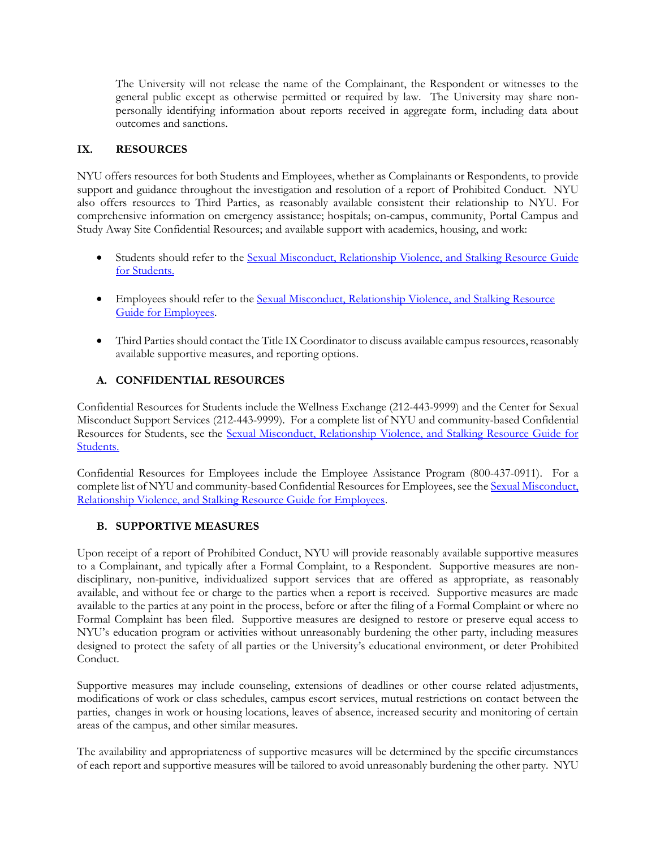The University will not release the name of the Complainant, the Respondent or witnesses to the general public except as otherwise permitted or required by law. The University may share nonpersonally identifying information about reports received in aggregate form, including data about outcomes and sanctions.

## **IX. RESOURCES**

NYU offers resources for both Students and Employees, whether as Complainants or Respondents, to provide support and guidance throughout the investigation and resolution of a report of Prohibited Conduct. NYU also offers resources to Third Parties, as reasonably available consistent their relationship to NYU. For comprehensive information on emergency assistance; hospitals; on-campus, community, Portal Campus and Study Away Site Confidential Resources; and available support with academics, housing, and work:

- Students should refer to the [Sexual Misconduct, Relationship Violence, and Stalking Resource Guide](https://www.nyu.edu/about/policies-guidelines-compliance/policies-and-guidelines/sexual-misconduct--relationship-violence--and-stalking-resource-.html)  [for Students.](https://www.nyu.edu/about/policies-guidelines-compliance/policies-and-guidelines/sexual-misconduct--relationship-violence--and-stalking-resource-.html)
- Employees should refer to the [Sexual Misconduct, Relationship Violence, and Stalking](https://www.nyu.edu/about/policies-guidelines-compliance/policies-and-guidelines/sexual-misconduct--relationship-violence--and-stalking-resource-0.html) Resource [Guide for Employees.](https://www.nyu.edu/about/policies-guidelines-compliance/policies-and-guidelines/sexual-misconduct--relationship-violence--and-stalking-resource-0.html)
- Third Parties should contact the Title IX Coordinator to discuss available campus resources, reasonably available supportive measures, and reporting options.

# **A. CONFIDENTIAL RESOURCES**

Confidential Resources for Students include the Wellness Exchange (212-443-9999) and the Center for Sexual Misconduct Support Services (212-443-9999). For a complete list of NYU and community-based Confidential Resources for Students, see the [Sexual Misconduct, Relationship Violence, and Stalking Resource Guide for](https://www.nyu.edu/about/policies-guidelines-compliance/policies-and-guidelines/sexual-misconduct--relationship-violence--and-stalking-resource-.html)  [Students.](https://www.nyu.edu/about/policies-guidelines-compliance/policies-and-guidelines/sexual-misconduct--relationship-violence--and-stalking-resource-.html) 

Confidential Resources for Employees include the Employee Assistance Program (800-437-0911). For a complete list of NYU and community-based Confidential Resources for Employees, see the Sexual Misconduct, [Relationship Violence, and Stalking Resource Guide for Employees.](https://www.nyu.edu/about/policies-guidelines-compliance/policies-and-guidelines/sexual-misconduct--relationship-violence--and-stalking-resource-0.html)

# **B. SUPPORTIVE MEASURES**

Upon receipt of a report of Prohibited Conduct, NYU will provide reasonably available supportive measures to a Complainant, and typically after a Formal Complaint, to a Respondent. Supportive measures are nondisciplinary, non-punitive, individualized support services that are offered as appropriate, as reasonably available, and without fee or charge to the parties when a report is received. Supportive measures are made available to the parties at any point in the process, before or after the filing of a Formal Complaint or where no Formal Complaint has been filed. Supportive measures are designed to restore or preserve equal access to NYU's education program or activities without unreasonably burdening the other party, including measures designed to protect the safety of all parties or the University's educational environment, or deter Prohibited Conduct.

Supportive measures may include counseling, extensions of deadlines or other course related adjustments, modifications of work or class schedules, campus escort services, mutual restrictions on contact between the parties, changes in work or housing locations, leaves of absence, increased security and monitoring of certain areas of the campus, and other similar measures.

The availability and appropriateness of supportive measures will be determined by the specific circumstances of each report and supportive measures will be tailored to avoid unreasonably burdening the other party. NYU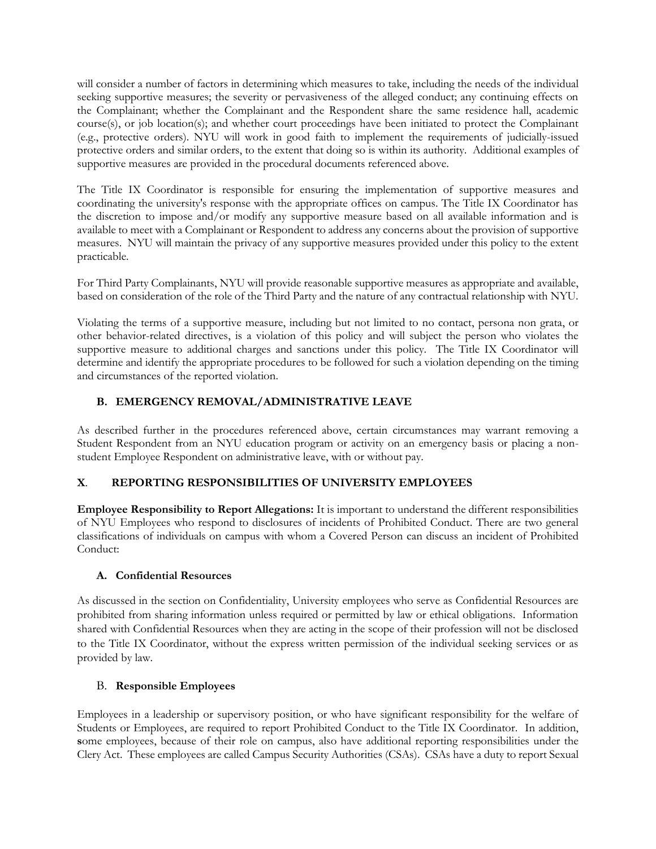will consider a number of factors in determining which measures to take, including the needs of the individual seeking supportive measures; the severity or pervasiveness of the alleged conduct; any continuing effects on the Complainant; whether the Complainant and the Respondent share the same residence hall, academic course(s), or job location(s); and whether court proceedings have been initiated to protect the Complainant (e.g., protective orders). NYU will work in good faith to implement the requirements of judicially-issued protective orders and similar orders, to the extent that doing so is within its authority. Additional examples of supportive measures are provided in the procedural documents referenced above.

The Title IX Coordinator is responsible for ensuring the implementation of supportive measures and coordinating the university's response with the appropriate offices on campus. The Title IX Coordinator has the discretion to impose and/or modify any supportive measure based on all available information and is available to meet with a Complainant or Respondent to address any concerns about the provision of supportive measures. NYU will maintain the privacy of any supportive measures provided under this policy to the extent practicable.

For Third Party Complainants, NYU will provide reasonable supportive measures as appropriate and available, based on consideration of the role of the Third Party and the nature of any contractual relationship with NYU.

Violating the terms of a supportive measure, including but not limited to no contact, persona non grata, or other behavior-related directives, is a violation of this policy and will subject the person who violates the supportive measure to additional charges and sanctions under this policy. The Title IX Coordinator will determine and identify the appropriate procedures to be followed for such a violation depending on the timing and circumstances of the reported violation.

# **B. EMERGENCY REMOVAL/ADMINISTRATIVE LEAVE**

As described further in the procedures referenced above, certain circumstances may warrant removing a Student Respondent from an NYU education program or activity on an emergency basis or placing a nonstudent Employee Respondent on administrative leave, with or without pay.

# **X**. **REPORTING RESPONSIBILITIES OF UNIVERSITY EMPLOYEES**

**Employee Responsibility to Report Allegations:** It is important to understand the different responsibilities of NYU Employees who respond to disclosures of incidents of Prohibited Conduct. There are two general classifications of individuals on campus with whom a Covered Person can discuss an incident of Prohibited Conduct:

### **A. Confidential Resources**

As discussed in the section on Confidentiality, University employees who serve as Confidential Resources are prohibited from sharing information unless required or permitted by law or ethical obligations. Information shared with Confidential Resources when they are acting in the scope of their profession will not be disclosed to the Title IX Coordinator, without the express written permission of the individual seeking services or as provided by law.

### B. **Responsible Employees**

Employees in a leadership or supervisory position, or who have significant responsibility for the welfare of Students or Employees, are required to report Prohibited Conduct to the Title IX Coordinator. In addition, **s**ome employees, because of their role on campus, also have additional reporting responsibilities under the Clery Act. These employees are called Campus Security Authorities (CSAs). CSAs have a duty to report Sexual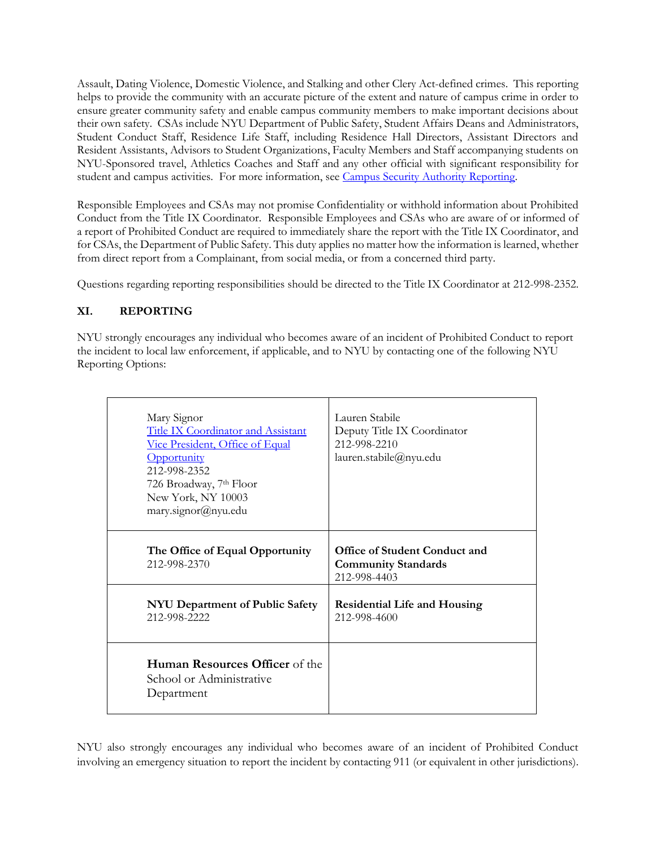Assault, Dating Violence, Domestic Violence, and Stalking and other Clery Act-defined crimes. This reporting helps to provide the community with an accurate picture of the extent and nature of campus crime in order to ensure greater community safety and enable campus community members to make important decisions about their own safety. CSAs include NYU Department of Public Safety, Student Affairs Deans and Administrators, Student Conduct Staff, Residence Life Staff, including Residence Hall Directors, Assistant Directors and Resident Assistants, Advisors to Student Organizations, Faculty Members and Staff accompanying students on NYU-Sponsored travel, Athletics Coaches and Staff and any other official with significant responsibility for student and campus activities. For more information, see [Campus Security Authority Reporting.](https://www.nyu.edu/life/safety-health-wellness/public-safety/clery-act-reporting/campus-security-authority-reporting.html)

Responsible Employees and CSAs may not promise Confidentiality or withhold information about Prohibited Conduct from the Title IX Coordinator. Responsible Employees and CSAs who are aware of or informed of a report of Prohibited Conduct are required to immediately share the report with the Title IX Coordinator, and for CSAs, the Department of Public Safety. This duty applies no matter how the information is learned, whether from direct report from a Complainant, from social media, or from a concerned third party.

Questions regarding reporting responsibilities should be directed to the Title IX Coordinator at 212-998-2352.

# **XI. REPORTING**

NYU strongly encourages any individual who becomes aware of an incident of Prohibited Conduct to report the incident to local law enforcement, if applicable, and to NYU by contacting one of the following NYU Reporting Options:

| Mary Signor<br>Title IX Coordinator and Assistant<br>Vice President, Office of Equal<br><b>Opportunity</b><br>212-998-2352<br>726 Broadway, 7 <sup>th</sup> Floor<br>New York, NY 10003<br>mary.signor@nyu.edu | Lauren Stabile<br>Deputy Title IX Coordinator<br>212-998-2210<br>lauren.stabile@nyu.edu |
|----------------------------------------------------------------------------------------------------------------------------------------------------------------------------------------------------------------|-----------------------------------------------------------------------------------------|
| The Office of Equal Opportunity<br>212-998-2370                                                                                                                                                                | Office of Student Conduct and<br><b>Community Standards</b><br>212-998-4403             |
| NYU Department of Public Safety<br>212-998-2222                                                                                                                                                                | <b>Residential Life and Housing</b><br>212-998-4600                                     |
| <b>Human Resources Officer</b> of the<br>School or Administrative<br>Department                                                                                                                                |                                                                                         |

NYU also strongly encourages any individual who becomes aware of an incident of Prohibited Conduct involving an emergency situation to report the incident by contacting 911 (or equivalent in other jurisdictions).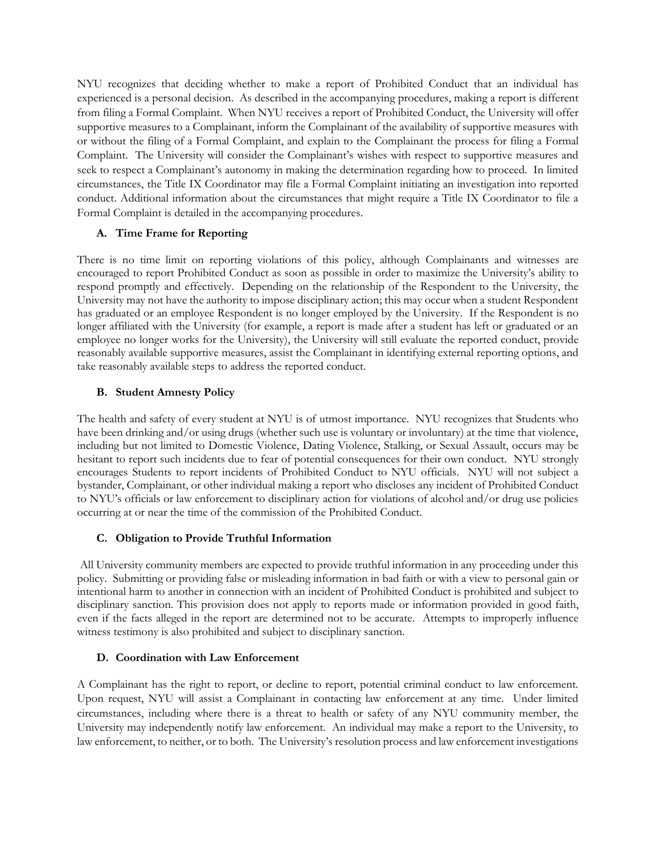NYU recognizes that deciding whether to make a report of Prohibited Conduct that an individual has experienced is a personal decision. As described in the accompanying procedures, making a report is different from filing a Formal Complaint. When NYU receives a report of Prohibited Conduct, the University will offer supportive measures to a Complainant, inform the Complainant of the availability of supportive measures with or without the filing of a Formal Complaint, and explain to the Complainant the process for filing a Formal Complaint. The University will consider the Complainant's wishes with respect to supportive measures and seek to respect a Complainant's autonomy in making the determination regarding how to proceed. In limited circumstances, the Title IX Coordinator may file a Formal Complaint initiating an investigation into reported conduct. Additional information about the circumstances that might require a Title IX Coordinator to file a Formal Complaint is detailed in the accompanying procedures.

# **A. Time Frame for Reporting**

There is no time limit on reporting violations of this policy, although Complainants and witnesses are encouraged to report Prohibited Conduct as soon as possible in order to maximize the University's ability to respond promptly and effectively. Depending on the relationship of the Respondent to the University, the University may not have the authority to impose disciplinary action; this may occur when a student Respondent has graduated or an employee Respondent is no longer employed by the University. If the Respondent is no longer affiliated with the University (for example, a report is made after a student has left or graduated or an employee no longer works for the University), the University will still evaluate the reported conduct, provide reasonably available supportive measures, assist the Complainant in identifying external reporting options, and take reasonably available steps to address the reported conduct.

## **B. Student Amnesty Policy**

The health and safety of every student at NYU is of utmost importance. NYU recognizes that Students who have been drinking and/or using drugs (whether such use is voluntary or involuntary) at the time that violence, including but not limited to Domestic Violence, Dating Violence, Stalking, or Sexual Assault, occurs may be hesitant to report such incidents due to fear of potential consequences for their own conduct. NYU strongly encourages Students to report incidents of Prohibited Conduct to NYU officials. NYU will not subject a bystander, Complainant, or other individual making a report who discloses any incident of Prohibited Conduct to NYU's officials or law enforcement to disciplinary action for violations of alcohol and/or drug use policies occurring at or near the time of the commission of the Prohibited Conduct.

### **C. Obligation to Provide Truthful Information**

All University community members are expected to provide truthful information in any proceeding under this policy. Submitting or providing false or misleading information in bad faith or with a view to personal gain or intentional harm to another in connection with an incident of Prohibited Conduct is prohibited and subject to disciplinary sanction. This provision does not apply to reports made or information provided in good faith, even if the facts alleged in the report are determined not to be accurate. Attempts to improperly influence witness testimony is also prohibited and subject to disciplinary sanction.

# **D. Coordination with Law Enforcement**

A Complainant has the right to report, or decline to report, potential criminal conduct to law enforcement. Upon request, NYU will assist a Complainant in contacting law enforcement at any time. Under limited circumstances, including where there is a threat to health or safety of any NYU community member, the University may independently notify law enforcement. An individual may make a report to the University, to law enforcement, to neither, or to both. The University's resolution process and law enforcement investigations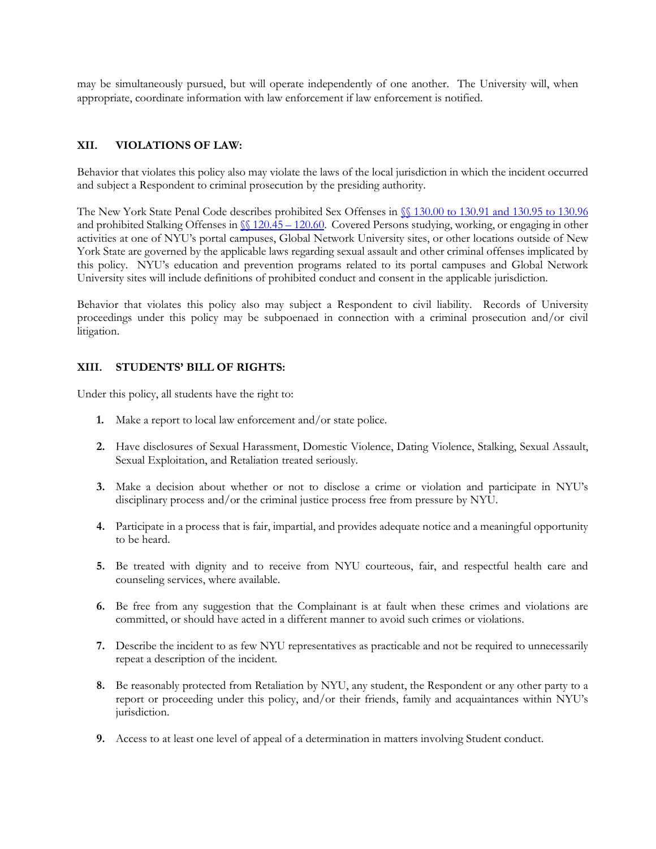may be simultaneously pursued, but will operate independently of one another. The University will, when appropriate, coordinate information with law enforcement if law enforcement is notified.

#### **XII. VIOLATIONS OF LAW:**

Behavior that violates this policy also may violate the laws of the local jurisdiction in which the incident occurred and subject a Respondent to criminal prosecution by the presiding authority.

The New York State Penal Code describes prohibited Sex Offenses in §§ [130.00 to 130.91 and 130.95 to 130.96](http://public.leginfo.state.ny.us/LAWSSEAF.cgi?QUERYTYPE=LAWS+&QUERYDATA=@SLPEN0P3THA130+&LIST=LAW+&BROWSER=BROWSER+&TOKEN=39573594+&TARGET=VIEW) and prohibited Stalking Offenses in  $\sqrt{20.45} - 120.60$ . Covered Persons studying, working, or engaging in other activities at one of NYU's portal campuses, Global Network University sites, or other locations outside of New York State are governed by the applicable laws regarding sexual assault and other criminal offenses implicated by this policy. NYU's education and prevention programs related to its portal campuses and Global Network University sites will include definitions of prohibited conduct and consent in the applicable jurisdiction.

Behavior that violates this policy also may subject a Respondent to civil liability. Records of University proceedings under this policy may be subpoenaed in connection with a criminal prosecution and/or civil litigation.

#### **XIII. STUDENTS' BILL OF RIGHTS:**

Under this policy, all students have the right to:

- **1.** Make a report to local law enforcement and/or state police.
- **2.** Have disclosures of Sexual Harassment, Domestic Violence, Dating Violence, Stalking, Sexual Assault, Sexual Exploitation, and Retaliation treated seriously.
- **3.** Make a decision about whether or not to disclose a crime or violation and participate in NYU's disciplinary process and/or the criminal justice process free from pressure by NYU.
- **4.** Participate in a process that is fair, impartial, and provides adequate notice and a meaningful opportunity to be heard.
- **5.** Be treated with dignity and to receive from NYU courteous, fair, and respectful health care and counseling services, where available.
- **6.** Be free from any suggestion that the Complainant is at fault when these crimes and violations are committed, or should have acted in a different manner to avoid such crimes or violations.
- **7.** Describe the incident to as few NYU representatives as practicable and not be required to unnecessarily repeat a description of the incident.
- **8.** Be reasonably protected from Retaliation by NYU, any student, the Respondent or any other party to a report or proceeding under this policy, and/or their friends, family and acquaintances within NYU's jurisdiction.
- **9.** Access to at least one level of appeal of a determination in matters involving Student conduct.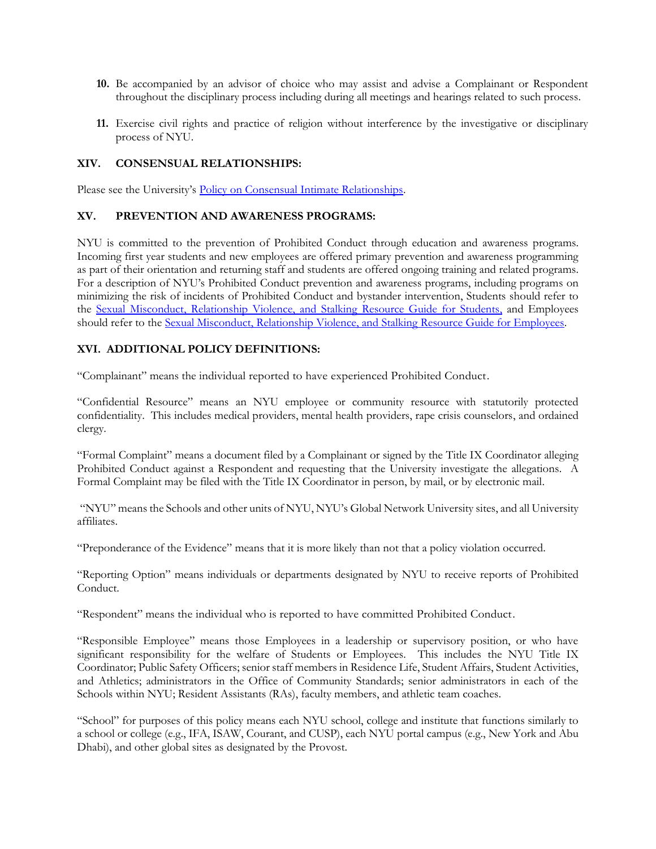- **10.** Be accompanied by an advisor of choice who may assist and advise a Complainant or Respondent throughout the disciplinary process including during all meetings and hearings related to such process.
- **11.** Exercise civil rights and practice of religion without interference by the investigative or disciplinary process of NYU.

### **XIV. CONSENSUAL RELATIONSHIPS:**

Please see the University's [Policy on Consensual Intimate Relationships.](https://www.nyu.edu/about/policies-guidelines-compliance/policies-and-guidelines/policy-on-consensual-intimate-relationships.html)

#### **XV. PREVENTION AND AWARENESS PROGRAMS:**

NYU is committed to the prevention of Prohibited Conduct through education and awareness programs. Incoming first year students and new employees are offered primary prevention and awareness programming as part of their orientation and returning staff and students are offered ongoing training and related programs. For a description of NYU's Prohibited Conduct prevention and awareness programs, including programs on minimizing the risk of incidents of Prohibited Conduct and bystander intervention, Students should refer to the [Sexual Misconduct, Relationship Violence, and Stalking](https://www.nyu.edu/about/policies-guidelines-compliance/policies-and-guidelines/sexual-misconduct--relationship-violence--and-stalking-resource-.html) Resource Guide for Students, and Employees should refer to the [Sexual Misconduct, Relationship Violence, and Stalking](https://www.nyu.edu/about/policies-guidelines-compliance/policies-and-guidelines/sexual-misconduct--relationship-violence--and-stalking-resource-0.html) Resource Guide for Employees.

# **XVI. ADDITIONAL POLICY DEFINITIONS:**

"Complainant" means the individual reported to have experienced Prohibited Conduct.

"Confidential Resource" means an NYU employee or community resource with statutorily protected confidentiality. This includes medical providers, mental health providers, rape crisis counselors, and ordained clergy.

"Formal Complaint" means a document filed by a Complainant or signed by the Title IX Coordinator alleging Prohibited Conduct against a Respondent and requesting that the University investigate the allegations. A Formal Complaint may be filed with the Title IX Coordinator in person, by mail, or by electronic mail.

"NYU" means the Schools and other units of NYU, NYU's Global Network University sites, and all University affiliates.

"Preponderance of the Evidence" means that it is more likely than not that a policy violation occurred.

"Reporting Option" means individuals or departments designated by NYU to receive reports of Prohibited Conduct.

"Respondent" means the individual who is reported to have committed Prohibited Conduct.

"Responsible Employee" means those Employees in a leadership or supervisory position, or who have significant responsibility for the welfare of Students or Employees. This includes the NYU Title IX Coordinator; Public Safety Officers; senior staff members in Residence Life, Student Affairs, Student Activities, and Athletics; administrators in the Office of Community Standards; senior administrators in each of the Schools within NYU; Resident Assistants (RAs), faculty members, and athletic team coaches.

"School" for purposes of this policy means each NYU school, college and institute that functions similarly to a school or college (e.g., IFA, ISAW, Courant, and CUSP), each NYU portal campus (e.g., New York and Abu Dhabi), and other global sites as designated by the Provost.